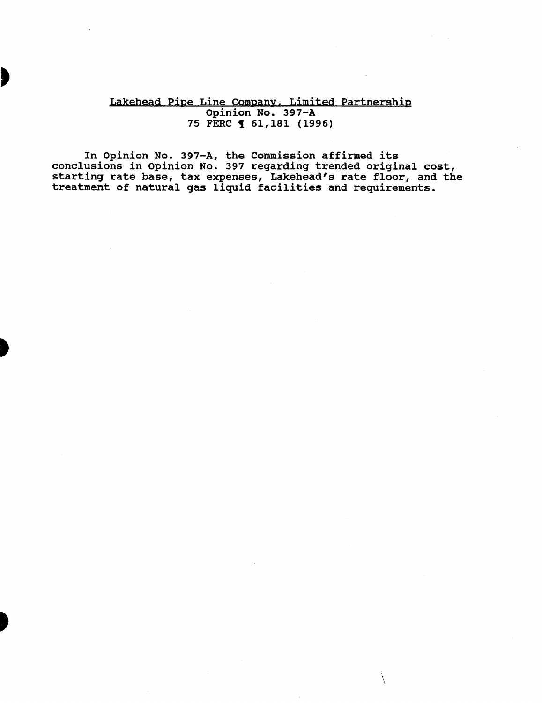### Lakehead Pipe Line Company. Limited Partnership Opinion No. 397-A 75 FERC **1** 61, 181 (1996)

In Opinion No. 397-A, the Commission affirmed its conclusions in Opinion No. 397 regarding trended original cost, starting rate base, tax expenses, Lakehead's rate floor, and the treatment of natural gas liquid facilities and requirements.

 $\setminus$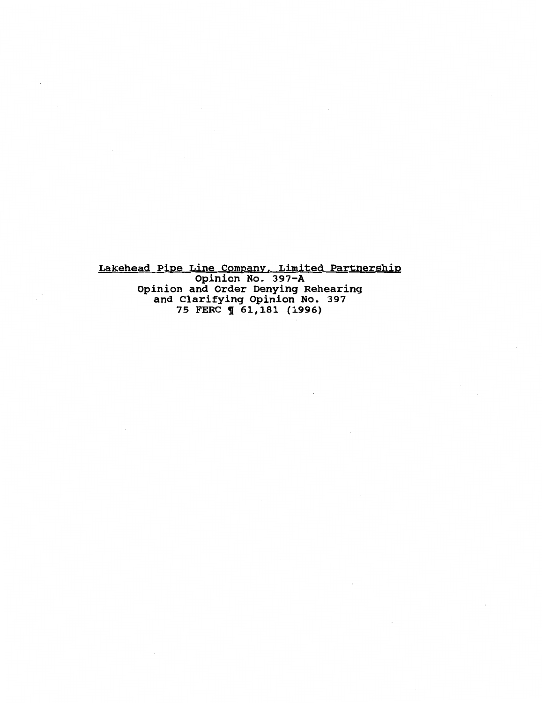Lakehead Pipe Line Company, Limited Partnership Opinion No. 397-A Opinion and Order Denying Rehearing and Clarifying Opinion No. 397 75 FERC **1** 61,181 (1996)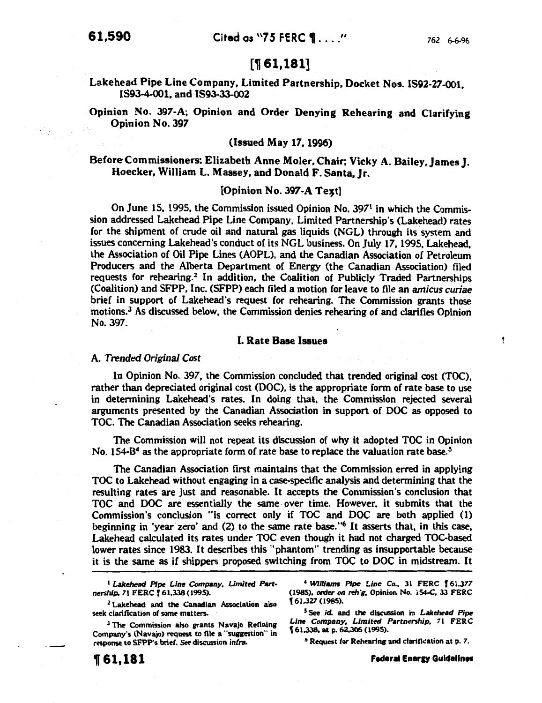ţ

# [1 61,181]

# Lakehead Pipe Line Company, Limited Partnership, Docket Nos. IS92-27-001, IS93-4-001, and IS93-33-002

Opinion No. 397-A; Opinion and Order Denying Rehearing and Clarifying Opinion No. 397

### (Issued May 17, 1996)

## Before Commissioners: Elizabeth Anne Moler, Chair; Vicky A. Bailey, James J. Hoecker, William L. Massey, and Donald F. Santa, Jr.

### $[Option No. 397-A Test]$

On June 15, 1995, the Commission issued Opinion No. 397<sup>1</sup> in which the Commission addressed Lakehead Pipe Line Company, Limited Partnership's (Lakehead) rates for the shipment of crude oil and natural gas liquids (NGL) through its system and issues concerning Lakehead's conduct of its NGL business. On July 17, 1995, Lakehead, the Association of Oil Pipe Lines (AOPL), and the Canadian Association of Petroleum Producers and the Alberta Department of Energy (the Canadian Association) filed requests for rehearing.<sup>2</sup> In addition, the Coalition of Publicly Traded Partnerships (Coalition) and SFPP, Inc. (SFPP) each filed a motion for leave to file an *amicus* curiae brief in support of Lakehead's request for rehearing. The Commission grants those motions. 3 As discussed below, the Commission denies rehearing of and clarifies Opinion No. 397.

### I. Rate Base Issues

#### A. *Trended Original Cost*

In Opinion No. 397, the Commission concluded that trended original cost (TOC), rather than depreciated original cost (DOC), is the appropriate form of rate base to use in determining Lakehead's rates. In doing that, the Commission rejected several arguments presented by the Canadian Association in support of DOC as opposed to TOC. The Canadian Association seeks rehearing.

The Commission will not repeat its discussion of why it adopted TOC in Opinion No. 154-B<sup>4</sup> as the appropriate form of rate base to replace the valuation rate base.<sup>5</sup>

The Canadian Association first maintains that the Commission erred in applying TOC to Lakehead without engaging in a case-specific analysis and determining that the resulting rates are just and reasonable. It accepts the Commission's conclusion that TOC and DOC are essentially the same over time. However, it submits that the Commission's conclusion "is correct only if TOC and DOC are both applied (1) beginning in 'year zero' and  $(2)$  to the same rate base."<sup>6</sup> It asserts that, in this case, Lakehead calculated its rates under TOC even though it had not charged TOC-based lower rates since 1983. It describes this "phantom" trending as insupportable because it is the same as if shippers proposed switching from TOC to DOC in midstream. It

<sup>1</sup> Lakehead Pipe Line Company, Limited Part*nership.* 71 FERC I 61,338(1995).

<sup>2</sup> Lakehead and the Canadian Association also seek clarification of some matters.

<sup>3</sup> The Commission also grants Navajo Refining Company's (Navajo) request to file a "suggestion" in response to SFPP's brief. See discussion infra.

• *Williams P/pt: Line Co.,* 31 FERC I 61.377 (1985), order on reh'g, Opinion No. 154-C, 33 FERC ' 61,327 (1985).

s See id. and the discussion in *Lakehead Pipt: Line Company, Limited Partnership,* 71 FERC 161,338. at p. 62,306 (1995).

6 Request for Rehearing and clarification at p. *7.* 

**Federal Energy Guidelines**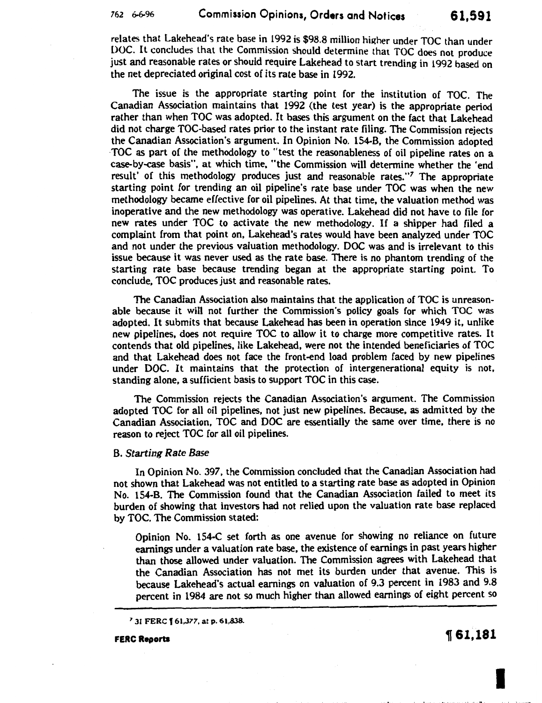relates that Lakehead's rate base in 1992 is \$98.8 million higher under TOC than under DOC. It concludes that the Commission should determine that TOC does not produce just and reasonable rates or should require Lakehead to start trending in 1992 based on the net depreciated original cost of its rate base in 1992.

The issue is the appropriate starting point for the institution of TOC. The Canadian Association maintains that 1992 (the test year) is the appropriate period rather than when TOC was adopted. It bases this argument on the fact that Lakehead did not charge TOC-based rates prior to the instant rate filing. The Commission rejects the Canadian Association's argument. In Opinion No. 154-B, the Commission adopted ·TOC as part of the methodology to "test the reasonableness of oil pipeline rates on a case-by-case basis", at which time, "the Commission will determine whether the 'end result' of this methodology produces just and reasonable rates. *"7* The appropriate starting point for trending an oil pipeline's rate base under TOC was when the new methodology became effective for oil pipelines. At that time, the valuation method was inoperative and the new methodology was operative. Lakehead did not have to file for new rates under TOC to activate the new methodology. If a shipper had filed a complaint from that point on, Lakehead's rates would have been analyzed under TOC and not under the previous valuation methodology. DOC was and is irrelevant to this issue because it was never used as the rate base. There is no phantom trending of the starting rate base because trending began at the appropriate starting point. To conclude. TOC produces just and reasonable rates.

The Canadian Association also maintains that the application of TOC is unreasonable because it will not further the Commission's policy goals for which TOC was adopted. It submits that because Lakehead has been in operation since 1949 it, unlike new pipelines, does not require TOC to allow it to charge more competitive rates. It contends that old pipelines, like Lakehead, were not the intended beneficiaries of TOC and that Lakehead does not face the front-end load problem faced by new pipelines under DOC. It maintains that the protection of intergenerational equity is not, standing alone, a sufficient basis to support TOC in this case.

The Commission rejects the Canadian Association's argument. The Commission adopted TOC for all oil pipelines, not just new pipelines. Because, as admitted by the Canadian Association, TOC and DOC are essentially the same over time, there is no reason to reject TOC for all oil pipelines.

#### B. *Starting Rate Base*

In Opinion No. 397, the Commission concluded that the Canadian Association had not shown that Lakehead was not entitled to a starting rate base as adopted in Opinion No. 154-B. The Commission found that the Canadian Association failed to meet its burden of showing that investors had not relied upon the valuation rate base replaced by TOC. The Commission stated:

Opinion No. 154-C set forth as one avenue for showing no reliance on future earnings under a valuation rate base, the existence of earnings in past years higher than those allowed under valuation. The Commission agrees with Lakehead that the Canadian Association has not met its burden under that avenue. This is because Lakehead's actual earnings on valuation of 9.3 percent in 1983 and 9.8 percent in 1984 are not so much higher than allowed earnings of eight percent so

7 31 FERC f 61,377, at p. 61,838.

FERC Reports

**161.181** 

I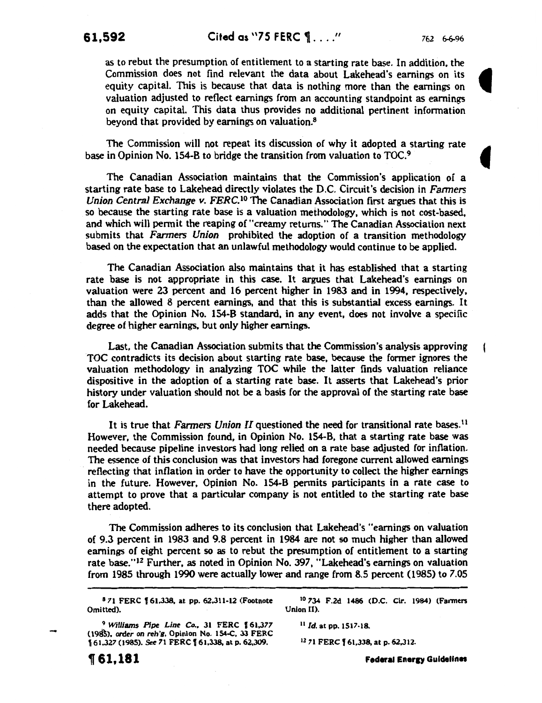**61,592** Cited as "75 FERC  $\P$ ...." 762 6-6-96

ł

as to rebut the presumption of entitlement to a starting rate base. In addition, the Commission does not find relevant the data about Lakehead's earnings on its equity capital. This is because that data is nothing more than the earnings on valuation adjusted to reflect earnings from an accounting standpoint as earnings on equity capital. This data thus provides no additional pertinent information beyond that provided by earnings on valuation.8

The Commission will not repeat its discussion of why it adopted a starting rate base in Opinion No. 154-B to bridge the transition from valuation to TOC.9

The Canadian Association maintains that the Commission's application of a starting rate base to Lakehead directly violates the D.C. Circuit's decision in *Farmers Union Central Exchange v. FERC.*<sup>10</sup> The Canadian Association first argues that this is so because the starting rate base is a valuation methodology, which is not cost-based, and which will permit the reaping of "creamy returns." The Canadian Association next submits that *Farmers Union* prohibited the adoption of a transition methodology based on the expectation that an unlawful methodology would continue to be applied.

The Canadian Association also maintains that it has established that a starting rate base is not appropriate in this case. It argues that Lakehead's earnings on valuation were 23 percent and 16 percent higher in 1983 and in 1994, respectively, than the allowed 8 percent earnings, and that this is substantial excess earnings. It adds that the Opinion No. 154-B standard, in any event, does not involve a specific degree of higher earnings, but only higher earnings.

Last, the Canadian Association submits that the Commission's analysis approving TOC contradicts its decision about starting rate base, because the former ignores the valuation methodology in analyzing TOC while the latter finds valuation reliance dispositive in the adoption of a starting rate base. It asserts that Lakehead's prior history under valuation should not be a basis for the approval of the starting rate base for Lakehead.

It is true that *Farmers Union II* questioned the need for transitional rate bases. <sup>11</sup> However, the Commission found, in Opinion No. 154-B, that a starting rate base was needed because pipeline investors had long relied on a rate base adjusted for inflation. The essence of this conclusion was that investors had foregone current allowed earnings reflecting that inflation in order to have the opportunity to collect the higher earnings in the future. However, Opinion No. 154-B permits participants in a rate case to attempt to prove that a particular company is not entitled to the starting rate base there adopted.

The Commission adheres to its conclusion that Lakehead's "earnings on valuation of 9.3 percent in 1983 and 9.8 percent in 1984 are not so much higher than allowed earnings of eight percent so as to rebut the presumption of entitlement to a starting rate base." 12 Further, as noted in Opinion No. 397, "Lakehead's earnings on valuation from 1985 through 1990 were actually lower and range from 8.5 percent (1985) to 7.05

Omitted).

<sup>9</sup> Williams Pipe Line Co., 31 FERC 161,377 <sup>11</sup> Id. at pp. 1517-18. (1985), *order on reh'g*, Opinion No. 154-C, 33 FERC 161,327 (1985). See 71 FERC 161,338, at p. 62,309. <sup>12</sup> 71 FERC 161,338, at p. 62,312.

<sup>8</sup> 71 FERC  $\uparrow$  61,338, at pp. 62,311-12 (Footnote 10 734 F.2d 1486 (D.C. Cir. 1984) (Farmers ted).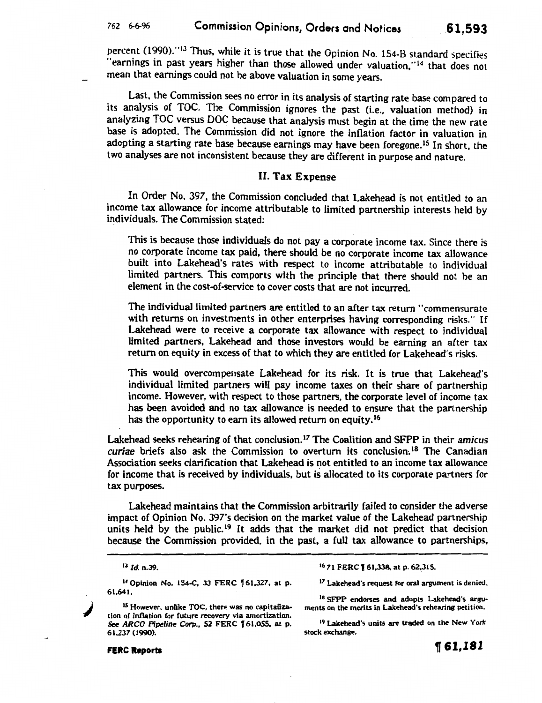percent (1990). <sup>"13</sup> Thus, while it is true that the Opinion No. 154-B standard specifies "earnings in past years higher than those allowed under valuation,"<sup>14</sup> that does not mean that earnings could not be above valuation in some years.

Last, the Commission sees no error in its analysis of starting rate base compared to its analysis of TOC. The Commission ignores the past (i.e., valuation method) in analyzing TOC versus DOC because that analysis must begin at the time the new rate base is adopted. The Commission did not ignore the inflation factor in valuation in adopting a starting rate base because earnings may have been foregone.<sup>15</sup> In short, the two analyses are not inconsistent because they are different in purpose and nature.

### II. Tax Expense

In Order No. 397, the Commission concluded that Lakehead is not entitled to an income tax allowance for income attributable to limited partnership interests held by individuals. The Commission stated:

This is because those individuals do not pay a corporate income tax. Since there is no corporate income tax paid, there should be no corporate income tax allowance built into Lakehead's rates with respect to income attributable to individual limited partners. This comports with the principle that there should not be an element in the cost-of-service to cover costs that are not incurred.

The individual limited partners are entitled to an after tax return "commensurate with returns on investments in other enterprises having corresponding risks." If Lakehead were to receive a corporate tax allowance with respect to individual limited partners, Lakehead and those investors would be earning an after tax return on equity in excess of that to which they are entitled for Lakehead's risks.

This would overcompensate Lakehead for its risk. It is true that Lakehead's individual limited partners will pay income taxes on their share of partnership income. However, with respect to those partners, the corporate level of income tax has been avoided and no tax allowance is needed to ensure that the partnership has the opportunity to earn its allowed return on equity.<sup>16</sup>

Lakehead seeks rehearing of that conclusion.17 The Coalition and SFPP in their *amicus curiae* briefs also ask the Commission to overturn its conclusion.<sup>18</sup> The Canadian Association seeks clarification that Lakehead is not entitled to an income tax allowance for income that is received by individuals, but is allocated to its corporate partners for tax purposes.

Lakehead maintains that the Commission arbitrarily failed to consider the adverse impact of Opinion No. 397's decision on the market value of the Lakehead partnership units held by the public.<sup>19</sup> It adds that the market did not predict that decision because the Commission provided, in the past, a full tax allowance to partnerships,

1 4 Opinion No. 154-C, 33 FERC f 61,327, at p. 61,641.

IS However, unlike TOC, there was no capitalization of inflation for future recovery via amortization. *See* ARCO *Pipeline* Corp., 52 FERC f 61,055. at p. 61.237 (1990).

<sup>16</sup> 71 FERC **[61,338**, at p. 62,315.

<sup>17</sup> Lakehead's request for oral argument is denied.

18 SFPP endorses and adopts Lakehead's arguments on the merits in Lakehead's rehearing petition.

<sup>19</sup> Lakehead's units are traded on the New York stock exchange.

' .

<sup>13</sup>*Id.* n.39.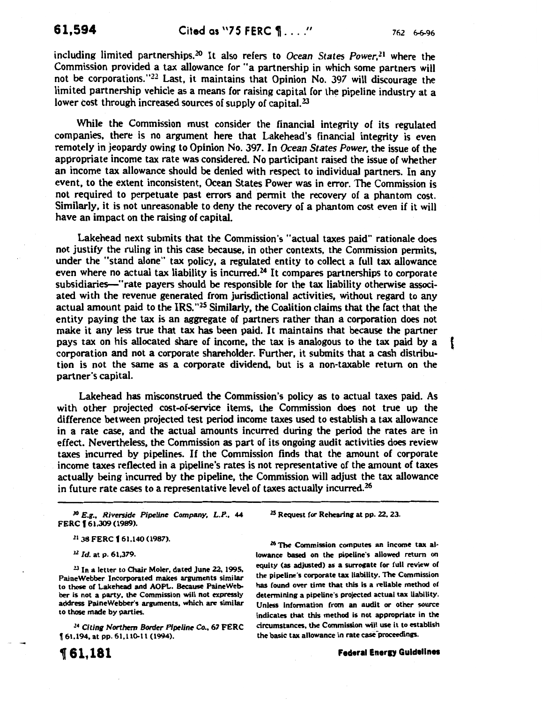including limited partnerships.<sup>20</sup> It also refers to *Ocean States Power*,<sup>21</sup> where the Commission provided a tax allowance for "a partnership in which some partners will not be corporations."<sup>22</sup> Last, it maintains that Opinion No. 397 will discourage the limited partnership vehicle as a means for raising capital for the pipeline industry at a lower cost through increased sources of supply of capital.<sup>23</sup>

While the Commission must consider the financial integrity of its regulated companies, there is no argument here that Lakehead's financial integrity is even remotely in jeopardy owing to Opinion No. 397. In *Ocean States Power,* the issue of the appropriate income tax rate was considered. No participant raised the issue of whether an income tax allowance should be denied with respect to individual partners. In any event, to the extent inconsistent, Ocean States Power was in error. The Commission is not required to perpetuate past errors and permit the recovery of a phantom cost. Similarly, it is not unreasonable to deny the recovery of a phantom cost even if it will have an impact on the raising of capital.

Lakehead next submits that the Commission's "actual taxes paid" rationale does not justify the ruling in this case because, in other contexts, the Commission permits, under the "stand alone" tax policy, a regulated entity to collect a full tax allowance even where no actual tax liability is incurred.<sup>24</sup> It compares partnerships to corporate subsidiaries-"rate payers should be responsible for the tax liability otherwise associated with the revenue generated from jurisdictional activities, without regard to any actual amount paid to the IRS."<sup>25</sup> Similarly, the Coalition claims that the fact that the entity paying the tax is an aggregate of partners rather than a corporation does not make it any less true that tax has been paid. It maintains that because the partner pays tax on his allocated share of income, the tax is analogous to the tax paid by a ( corporation and not a corporate shareholder. Further, it submits that a cash distribution is not the same as a corporate dividend, but is a non-taxable return on the partner's capital.

Lakehead has misconstrued the Commission's policy as to actual taxes paid. As with other projected cost-of-service items, the Commission does not true up the difference between projected test period income taxes used to establish a tax allowance in a rate case, and the actual amounts incurred during the period the rates are in effect. Nevertheless, the Commission as part of its ongoing audit activities does review taxes incurred by pipelines. If the Commission finds that the amount of corporate income taxes reflected in a pipeline's rates is not representative of the amount of taxes actually being incurred by the pipeline, the Commission will adjust the tax allowance in future rate cases to a representative level of taxes actually incurred.<sup>26</sup>

lO *E.g., Riverside Pipeline Company, L.P.,* 44 FERC **f** 61,309 (1989).

<sup>21</sup> 38 FERC **[** 61.140 (1987).

<sup>22</sup> Id. at p. 61,379.

<sup>23</sup> In a letter to Chair Moler, dated June 22, 1995, PaineWebber Incorporated makes arguments similar to those of Lakehead and AOPL. Because PaineWebber is not a party, the Commission will not expressly address PaineWebber's arguments, which are similar to those made by parties.

<sup>24</sup>*Citing* Northern *Border Pipeline Co.,* 67 FERC  $\left[61,194, \text{at pp. }61,110-11\right]$  (1994).

2S Request for Rehearing at pp. 22, 23.

<sup>26</sup> The Commission computes an income tax allowance based on the pipeline's allowed return on equity (as adjusted) as a surrogate for full review of the pipeline's corporate tax liability. The Commission has found over time that this is a reliable method of determining a pipeline's projected actual tax liability. Unless information from an audit or other source indicates that this method is not appropriate in the circumstances, the Commission will use it to establish the basic tax allowance in rate case proceedings.

**Federal Energy Guidelines**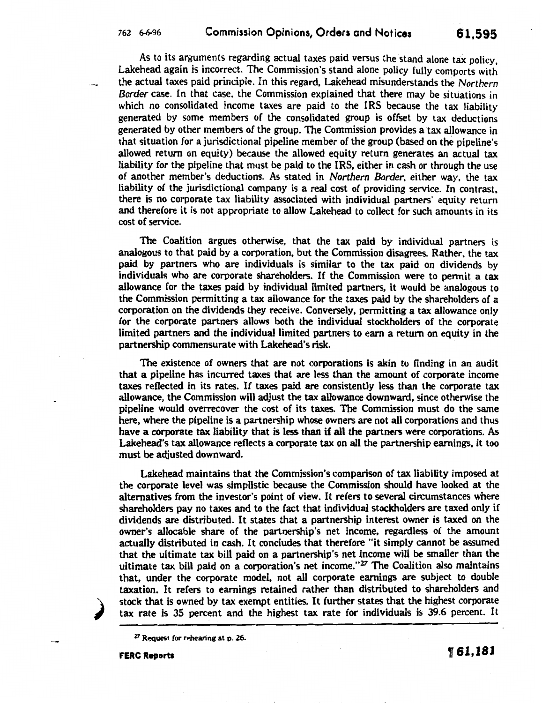As to its arguments regarding actual taxes paid versus the stand alone tax policy, Lakehead again is incorrect. The Commission's stand alone policy fully comports with the actual taxes paid principle. In this regard, Lakehead misunderstands the *Northern Border* case. In that case, the Commission explained that there may be situations in which no consolidated income taxes are paid to the IRS because the tax liability generated by some members of the consolidated group is offset by tax deductions generated by other members of the group. The Commission provides a tax allowance in that situation for a jurisdictional pipeline member of the group (based on the pipeline's allowed return on equity) because the allowed equity return generates an actual tax liability for the pipeline that must be paid to the IRS, either in cash or through the use of another member's deductions. As stated in *Northern Border,* either way, the tax liability of the jurisdictional company is a real cost of providing service. In contrast, there is no corporate tax liability associated with individual partners' equity return and therefore it is not appropriate to allow Lakehead to collect for such amounts in its cost of service.

The Coalition argues otherwise, that the tax paid by individual partners is analogous to that paid by a corporation, but the Commission disagrees. Rather, the tax paid by partners who are individuals is similar to the tax paid on dividends by individuals who are corporate shareholders. If the Commission were to permit a tax allowance for the taxes paid by individual limited partners, it would be analogous to the Commission permitting a tax allowance for the taxes paid by the shareholders of a corporation on the dividends they receive. Conversely, permitting a tax allowance only for the corporate partners allows both the individual stockholders of the corporate limited partners and the individual limited partners to earn a return on equity in the partnership commensurate with Lakehead's risk.

The existence of owners that are not corporations is akin to finding in an audit that a pipeline has incurred taxes that are less than the amount of corporate income taxes reflected in its rates. If taxes paid are consistently less than the corporate tax allowance, the Commission will adjust the tax allowance downward, since otherwise the pipeline would overrecover the cost of its taxes. The Commission must do the same here, where the pipeline is a partnership whose owners are not all corporations and thus have a corporate tax liability that is less than if all the partners were corporations. As Lakehead's tax allowance reflects a corporate tax on all the partnership earnings, it too must be adjusted downward.

Lakehead maintains that the Commission's comparison of tax liability imposed at the corporate level was simplistic because the Commission should have looked at the alternatives from the investor's point of view. It refers to several circumstances where shareholders pay no taxes and to the fact that individual stockholders are taxed only if dividends are distributed. It states that a partnership interest owner is taxed on the owner's allocable share of the partnership's net income, regardless of the amount actually distributed in cash. It concludes that therefore "it simply cannot be assumed that the ultimate tax bill paid on a partnership's net income will be smaller than the ultimate tax bill paid on a corporation's net income."27 The Coalition also maintains that, under the corporate model, not all corporate earnings are subject to double taxation. It refers to earnings retained rather than distributed to shareholders and stock that is owned by tax exempt entities. It further states that the highest corporate tax rate is 35 percent and the highest tax rate for individuals is 39.6 percent. It

*)* 

 $27$  Request for rehearing at p. 26.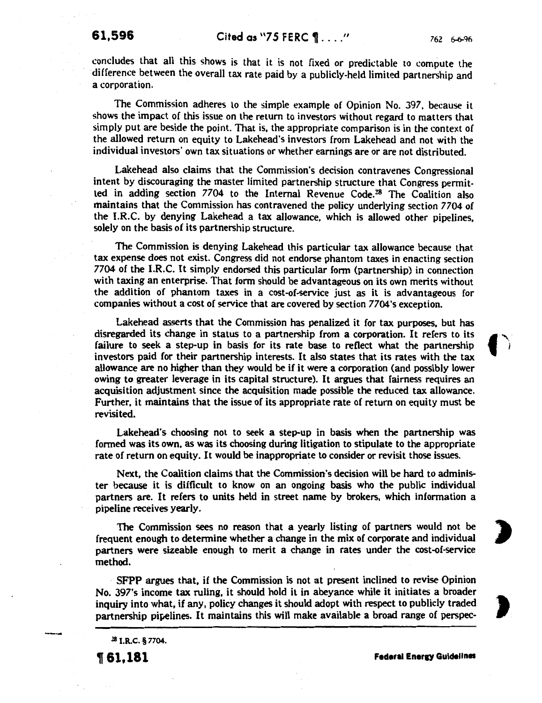1 .

concludes that all this shows is that it is not fixed or predictable to compute the difference between the overall tax rate paid by a publicly-held limited partnership and a corporation.

The Commission adheres to the simple example of Opinion No. 397, because it shows the impact of this issue on the return to investors without regard to matters that simply put are beside the point. That is, the appropriate comparison is in the context of the allowed return on equity to Lakehead's investors from Lakehead and not with the individual investors' own tax situations or whether earnings are or are not distributed.

Lakehead also claims that the Commission's decision contravenes Congressional intent by discouraging the master limited partnership structure that Congress permitted in adding section  $7704$  to the Internal Revenue Code.<sup>28</sup> The Coalition also maintains that the Commission has contravened the policy underlying section 7704 of the I.R.C. by denying Lakehead a tax allowance, which is allowed other pipelines, solely on the basis of its partnership structure.

The Commission is denying Lakehead this particular tax allowance because that tax expense does not exist. Congress did not endorse phantom taxes in enacting section 7704 of the I.R.C. It simply endorsed this particular form (partnership) in connection with taxing an enterprise. That form should be advantageous on its own merits without the addition of phantom taxes in a cost-of-service just as it is advantageous for companies without a cost of service that are covered by section 7704's exception.

Lakehead asserts that the Commission has penalized it for tax purposes, but has disregarded its change in status to a partnership from a corporation. It refers to its  $\mathbb{R}$ failure to seek a step-up in basis for its rate base to reflect what the partnership investors paid for their partnership interests. It also states that its rates with the tax allowance are no higher than they would be if it were a corporation (and possibly lower owing to greater leverage in its capital structure). It argues that fairness requires an acquisition adjustment since the acquisition made possible the reduced tax allowance. Further, it maintains that the issue of its appropriate rate of return on equity must be revisited.

Lakehead's choosing not to seek a step-up in basis when the partnership was formed was its own, as was its choosing during litigation to stipulate to the appropriate rate of return on equity. It would be inappropriate to consider or revisit those issues.

Next, the Coalition claims that the Commission's decision will be hard to administer because it is difficult to know on an ongoing basis who the public individual partners are. It refers to units held in street name by brokers, which information a pipeline receives yearly.

The Commission sees no reason that a yearly listing of partners would not be frequent enough to determine whether a change in the mix of corporate and individual . partners were sizeable enough to merit a change in rates under the cost-of-service method.

SFPP argues that, if the Commission is not at present inclined to revise Opinion No. 397's income tax ruling, it should hold it in abeyance while it initiates a broader inquiry into what, if any, policy changes it should adopt with respect to publicly traded partnership pipelines. It maintains this will make available a broad range of perspec-

28 I.R.C. § 7704.

, 61,181 Federal Eneru Guidelines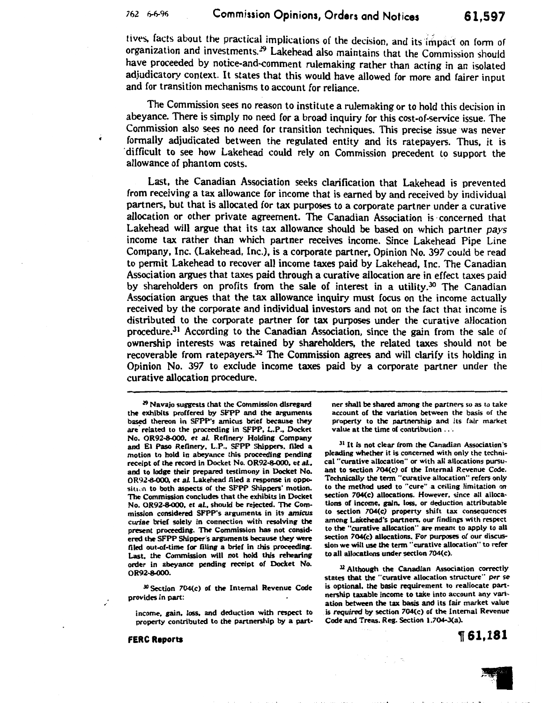tives, facts about the practical implications of the decision, and its impact on form of organization and investments.<sup>29</sup> Lakehead also maintains that the Commission should have proceeded by notice-and-comment rulemaking rather than acting in an isolated adjudicatory context. It states that this would have allowed for more and fairer input and for transition mechanisms to account for reliance.

The Commission sees no reason to institute a rulemaking or to hold this decision in abeyance. There is simply no need for a broad inquiry for this cost-of-service issue. The Commission also sees no need for transition techniques. This precise issue was never formally adjudicated between the regulated entity and its ratepayers. Thus, it is ·difficult to see how Lakehead could rely on Commission precedent to support the allowance of phantom costs.

Last, the Canadian Association seeks clarification that Lakehead is prevented from receiving a tax allowance for income that is earned by and received by individual partners, but that is allocated for tax purposes to a corporate partner under a curative allocation or other private agreement. The Canadian Association is ·concerned that Lakehead will argue that its tax allowance should be based on which partner pays income tax rather than which partner receives income. Since Lakehead Pipe Line Company, Inc. (Lakehead, Inc.), is a corporate partner, Opinion No. 397 could be read to permit Lakehead to recover all income taxes paid by Lakehead, Inc. The Canadian Association argues that taxes paid through a curative allocation are in effect taxes paid by shareholders on profits from the sale of interest in a utility.<sup>30</sup> The Canadian Association argues that the tax allowance inquiry must focus on the income actually received by the corporate and individual investors and not on the fact that income is distributed to the corporate partner for tax purposes under the curative allocation procedure.<sup>31</sup> According to the Canadian Association, since the gain from the sale of ownership interests was retained by shareholders, the related taxes should not be recoverable from ratepayers.32 The Commission agrees and will clarify its holding in Opinion No. 397 to exclude income taxes paid by a corporate partner under the curative allocation procedure.

30 Section 704(c) of the Internal Revenue Code provides in part:

income, gain, loss, and deduction with respect to property contributed to the partnership by a partner shall be shared among the partners so as to take account of the variation between the basis of the property to the partnership and its fair market value at the time of contribution ...

<sup>31</sup> It is not clear from the Canadian Association's pleading whether it is concerned with only the technical "curative allocation" or with all allocations pursuant to section 704(c) of the Internal Revenue Code. Technically the term "curative allocation" refers only to the method used to "cure" a ceiling limitation on section 704(c) allocations. However, since all allocations of income, gain, loss, or deduction attributable to section 704(c) property shift tax consequences among Lakehead's partners. our findings with respect to the "curative allocation" are meant to apply to all section 704(c) allocations. For purposes of our discussion we will use the term "curative allocation" to refer to all allocations under section 704(c).

12 Although the Canadian Association correctly states that the "curative allocation structure" *per* se is optional, the basic requirement to reallocate partnership taxable income to take into account any variation between the tax basis and its fair market value is *required* by section 704(c) of the Internal Revenue Code and Treas. Reg. Section 1.704-3(a).

, 61,181

*l9* Navajo suggests that the Commission disregard the exhibits proffered by SFPP and the arguments based thereon in SFPP's amicus brief because they are' related to the proceeding in SFPP, L.P., Docket No. OR92-8-000, et *a/.* Refinery Holding Company and El Paso Refinery, L.P., SFPP Shippers, filed a motion to hold in abeyance this proceeding pending receipt of the record in Docket No. OR92-8-000, et al., and to lodge their prepared testimony in Docket No. OR92-8-000, et al. Lakehead filed a response in oppositum to both aspects of the SFPP Shippers' motion. The Commission concludes that the exhibits in Docket No. OR92-8-000. et al., should be rejected. The Commission considered SFPP's arguments in its *amicus curiae* brief solely in connection with resolving the present proceeding. The Commission has not considered the SFPP Shipper's arguments because they were filed out-of-time for filing a brief in this proceeding. Last. the Commission will not hold this rehearing order in abeyance pending receipt of Docket No. OR92-&000.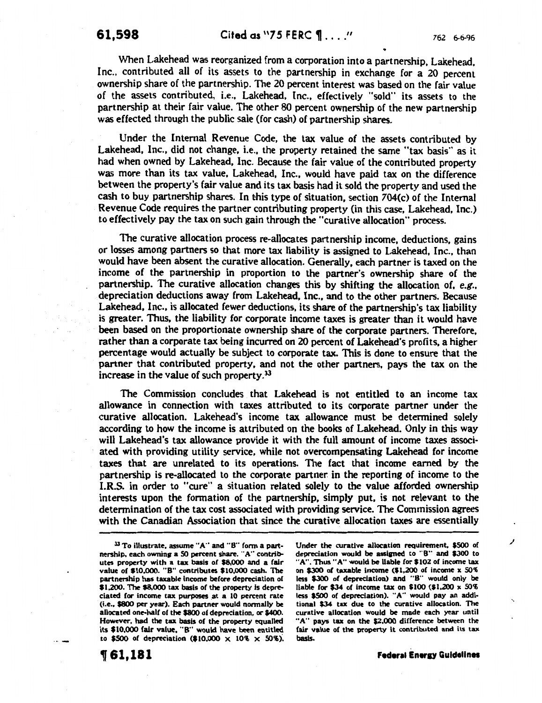When Lakehead was reorganized from a corporation into a partnership, Lakehead, Inc., contributed all of its assets to the partnership in exchange for a 20 percent ownership share of the partnership. The 20 percent interest was based on the fair value of the assets contributed, i.e., Lakehead, Inc., effectively "sold" its assets to the partnership at their fair value. The other 80 percent ownership of the new partnership was effected through the public sale (for cash) of partnership shares.

Under the Internal Revenue Code, the tax value of the assets contributed by Lakehead, Inc., did not change, i.e., the property retained the same "tax basis" as it had when owned by Lakehead, Inc. Because the fair value of the contributed property was more than its tax value, Lakehead, Inc., would have paid tax on the difference between the property's fair value and its tax basis had it sold the property and used the cash to buy partnership shares. In this type of situation, section 704(c} of the Internal Revenue Code requires the partner contributing property (in this case, Lakehead, Inc.} to effectively pay the tax on such gain through the "curative allocation" process.

The curative allocation process re-allocates partnership income, deductions, gains or losses among partners so that more tax liability is assigned to Lakehead, Inc., than would have been absent the curative allocation. Generally, each partner is taxed on the income of the partnership in proportion to the partner's ownership share of the partnership. The curative allocation changes this by shifting the allocation of, *e.g.,*  depreciation deductions away from Lakehead, Inc., and to the other partners. Because Lakehead, Inc., is allocated fewer deductions, its share of the partnership's tax liability is greater. Thus, the liability for corporate income taxes is greater than it would have been based on the proportionate ownership share of the corporate partners. Therefore, rather than a corporate tax being incurred on 20 percent of Lakehead's profits, a higher percentage would actually be subject to corporate tax. This is done to ensure that the partner that contributed property, and not the other partners, pays the tax on the increase in the value of such property.33

The Commission concludes that Lakehead is not entitled to an income tax allowance in connection with taxes attributed to its corporate partner under the curative allocation. Lakehead's income tax allowance must be determined solely according to how the income is attributed on the books of Lakehead. Only in this way will Lakehead's tax allowance provide it with the full amount of income taxes associated with providing utility service, while not overcompensating Lakehead for income taxes that are unrelated to its operations. The fact that income earned by the partnership is re-allocated to the corporate partner in the reporting of income to the I.R.S. in order to "cure" a situation related solely to the value afforded ownership interests upon the formation of the partnership, simply put, is not relevant to the determination of the tax cost associated with providing service. The Commission agrees with the Canadian Association that since the curative allocation taxes are essentially

Under the curative allocation requirement, \$500 of depreciation would be assigned to "B" and \$300 to "A". Thus "A" would be liable for \$102 of income tax on \$300 of taxable income (\$1,200 of income x SO'f. less \$300 of depreciation) and "8" would only be liable for \$34 of income tax on \$100 (\$1,200  $\times$  50% less \$500 of depreciation). "A" would pay an addi· tiona! \$34 tax due to the curative allocation. The curative allocation would be made each year until "A" pays tax on the \$2,000 difference between the fair value of the property it contributed and its tax basis.

'61,181

Federal Energy Guidelines

/

'•

<sup>&</sup>lt;sup>33</sup> To illustrate, assume "A" and "B" form a partnership, each owning a 50 percent share. "A" contributes property with a tax basis of \$8.000 and a fair value of \$10,000. "8" contributes \$10,000 cash. The partnenhip has taxable income before depreciation of \$1,200. The \$8,000 tax basis of the property is depreciated for income tax purposes at a 10 percent rate (i.e., \$800 per year). Each partner would nonnally be allocated one-half of the \$800 of depreciation, or \$400. However. had the tax basis of the property equalled its \$10,000 fair value, "B" would have been entitled to \$500 of depreciation (\$10,000  $\times$  10%  $\times$  50%).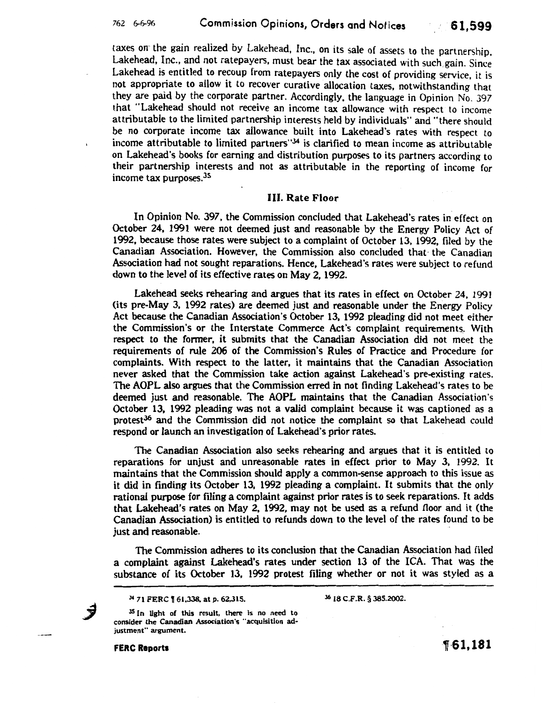taxes on the gain realized by Lakehead, Inc., on its sale of assets to the partnership. Lakehead, Inc., and not ratepayers, must bear the tax associated with such, gain. Since Lakehead is entitled to recoup from ratepayers only the cost of providing service, it is not appropriate to allow it to recover curative allocation taxes, notwithstanding that they are paid by the corporate partner. Accordingly, the language in Opinion No. 397 that "Lakehead should not receive an income tax allowance with respect to income attributable to the limited partnership interests held by individuals" and "there should be no corporate income tax allowance built into Lakehead's rates with respect to income attributable to limited partners"34 is clarified to mean income as attributable on Lakehead's books for earning and distribution purposes to its partners according to their partnership interests and not as attributable in the reporting of income for income tax purposes.<sup>35</sup>

#### III. Rate Floor

In Opinion No. 397, the Commission concluded that Lakehead's rates in effect on October 24, 1991 were not deemed just and reasonable by the Energy Policy Act of 1992, because those rates were subject to a complaint of October 13, 1992, filed by the Canadian Association. However, the Commission also concluded that· the Canadian Association had not sought reparations. Hence, Lakehead's rates were subject to refund down to the level of its effective rates on May 2, 1992.

Lakehead seeks rehearing and argues that its rates in effect on October 24, 1991 (its pre-May 3, 1992 rates) are deemed just and reasonable under the Energy Policy Act because the Canadian Association's October 13, 1992 pleading did not meet either the Commission's or the Interstate Commerce Act's complaint requirements. With respect to the former, it submits that the Canadian Association did not meet the requirements of rule 206 of the Commission's Rules of Practice and Procedure for complaints. With respect to the latter, it maintains that the Canadian Association never asked that the Commission take action against Lakehead's pre-existing rates. The AOPL also argues that the Commission erred in not finding Lakehead's rates to be deemed just and reasonable. The AOPL maintains that the Canadian Association's October 13, 1992 pleading was not a valid complaint because it was captioned as a protest<sup>36</sup> and the Commission did not notice the complaint so that Lakehead could respond or launch an investigation of Lakehead's prior rates.

The Canadian Association also seeks rehearing and argues that it is entitled to reparations for unjust and unreasonable rates in effect prior to May 3, 1992. It maintains that the Commission should apply a common-sense approach to this issue as it did in finding its October 13, 1992 pleading a complaint. It submits that the only rational purpose for filing a complaint against prior rates is to seek reparations. It adds that Lakehead's rates on May 2, 1992, may not be used as a refund floor and it (the Canadian Association) is entitled to refunds down to the level of the rates found to be just and reasonable.

The Commission adheres to its conclusion that the Canadian Association had filed a complaint against Lakehead's rates under section 13 of the ICA. That was the substance of its October 13, 1992 protest filing whether or not it was styled as a

<sup>34</sup> 71 FERC **[61,338**, at p. 62,315.

36 18 C.F.R. § 385.2002.

<sup>35</sup> In light of this result, there is no need to consider the Canadian Association's "acquisition adjustment" argument.

FERC Reports

Ĵ

1·61,181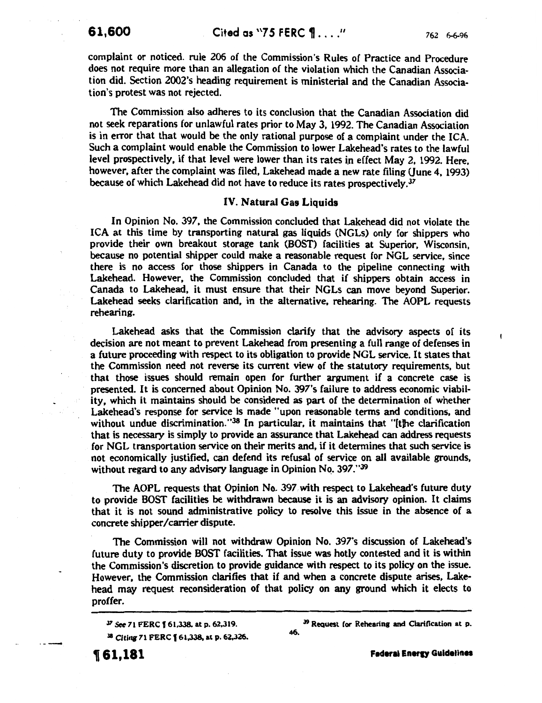$\mathbf{f}$ 

complaint or noticed. rule 206 of the Commission's Rules of Practice and Procedure does not require more than an allegation of the violation which the Canadian Association did. Section 2002's heading requirement is ministerial and the Canadian Association's protest was not rejected.

The Commission also adheres to its conclusion that the Canadian Association did not seek reparations for unlawful rates prior to May 3, 1992. The Canadian Association is in error that that would be the only rational purpose of a complaint under the ICA. Such a complaint would enable the Commission to lower Lakehead's rates to the lawful level prospectively, if that level were lower than its rates in effect May 2, 1992. Here. however, after the complaint was filed, Lakehead made a new rate filing (June 4, 1993) because of which Lakehead did not have to reduce its rates prospectively.<sup>37</sup>

#### IV. Natural Gas Liquids

In Opinion No. 397, the Commission concluded that Lakehead did not violate the ICA at this time by transporting natural gas liquids (NGLs) only for shippers who provide their own breakout storage tank (BOST) facilities at Superior, Wisconsin, because no potential shipper could make a reasonable request for NGL service, since there is no access for those shippers in Canada to the pipeline connecting with Lakehead. However, the Commission concluded that if shippers obtain access in Canada to Lakehead, it must ensure that their NGLs can move beyond Superior. Lakehead seeks clarification and, in the alternative, rehearing. The AOPL requests rehearing.

Lakehead asks that the Commission clarify that the advisory aspects of its decision are not meant to prevent Lakehead from presenting a full range of defenses in a future proceeding with respect to its obligation to provide NGL service. It states that the Commission need not reverse its current view of the statutory requirements, but that those issues should remain open for further argument if a concrete case is presented. It is concerned about Opinion No. 397's failure to address economic viability, which it maintains should be considered as part of the determination of whether Lakehead's response for service is made "upon reasonable terms and conditions, and without undue discrimination." $38$  In particular, it maintains that "[the clarification that is necessary is simply to provide an assurance that Lakehead can address requests for NGL transportation service on their merits and, if it determines that such service is not economically justified. can defend its refusal of service on all available grounds, without regard to any advisory language in Opinion No. 397."<sup>39</sup>

The AOPL requests that Opinion No. 397.with respect to Lakehead's future duty to provide BOST facilities be withdrawn because it is an advisory opinion. It claims that it is not sound administrative policy to resolve this issue in the absence of a concrete shipper/carrier dispute.

The Commission will not withdraw Opinion No. 397's discussion of Lakehead's future duty to provide BOST facilities. That issue was hotly contested and it is within the Commission's discretion to provide guidance with respect to its policy on the issue. However, the Commission clarifies that if and when a concrete dispute arises, Lakehead may request reconsideration of that policy on any ground which it elects to proffer.

<sup>37</sup> See 71 FERC **[61,338, at p. 62,319.** <sup>38</sup> Citing 71 FERC **[** 61,338, at p. 62,326.

<sup>9</sup> Request for Rehearing and Clarification at p. 46.

, 61,181

Federal Energy Guidelines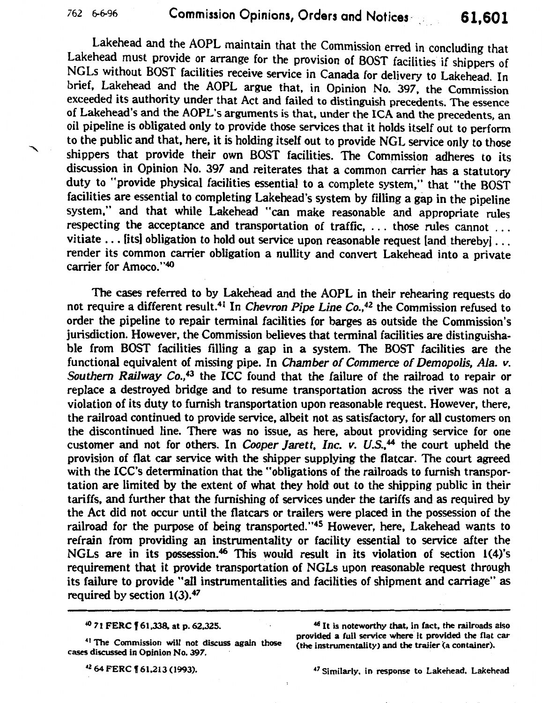Lakehead and the AOPL maintain that the Commission erred in concluding that Lakehead must provide or arrange for the provision of BOST facilities if shippers of NGLs without BOST facilities receive service in Canada for delivery to Lakehead. In brief, Lakehead and the AOPL argue that, in Opinion No. 397, the Commission exceeded its authority under that Act and failed to distinguish precedents. The essence of Lakehead's and the AOPL's arguments is that, under the ICA and the precedents, an oil pipeline is obligated only to provide those services that it holds itself out to perform to the public and that, here, it is holding itself out to provide NGL service only to those shippers that provide their own BOST facilities. The Commission adheres to its discussion in Opinion No. 397 and reiterates that a common carrier has a statutory duty to "provide physical facilities essential to a complete system," that "the BOST facilities are essential to completing Lakehead's system by filling a gap in the pipeline system," and that while Lakehead "can make reasonable and appropriate rules respecting the acceptance and transportation of traffic, ... those rules cannot ... vitiate ... [its] obligation to hold out service upon reasonable request [and thereby]... render its common carrier obligation a nullity and convert Lakehead into a private carrier for Amoco. "40

The cases referred to by Lakehead and the AOPL in their rehearing requests do not require a different result.<sup>41</sup> In *Chevron Pipe Line Co.*,<sup>42</sup> the Commission refused to order the pipeline to repair terminal facilities for barges as outside the Commission's jurisdiction. However, the Commission believes that terminal facilities are distinguishable from BOST facilities filling a gap in a system. The BOST facilities are the functional equivalent of missing pipe. In Chamber of Commerce of Demopolis, Ala. v. Southern Railway Co.,<sup>43</sup> the ICC found that the failure of the railroad to repair or replace a destroyed bridge and to resume transportation across the river was not a violation of its duty to furnish transportation upon reasonable request. However, there, the railroad continued to provide service, albeit not as satisfactory, for all customers on the discontinued line. There was no issue, as here, about providing service for one customer and not for others. In *Cooper Jarett, Inc. v. U.S.*<sup>44</sup> the court upheld the provision of flat car service with the shipper supplying the flatcar. The court agreed with the ICC's determination that the "obligations of the railroads to furnish transportation are limited by the extent of what they hold out to the shipping public in their tariffs, and further that the furnishing of services under the tariffs and as required by the Act did not occur until the flatcars or trailers were placed in the possession of the railroad for the purpose of being transported."<sup>45</sup> However, here, Lakehead wants to refrain from providing an instrumentality or facility essential to service after the NGLs are in its possession.<sup>46</sup> This would result in its violation of section 1(4)'s requirement that it provide transportation of NGLs upon reasonable request through its failure to provide "all instrumentalities and facilities of shipment and carriage" as required by section  $1(3).47$ 

<sup>40</sup>71 FERC I 61.338. at p. 62,325.

4 Z 64 FERC f 61,213 (1993).

47 Similarly, in response to Lakehead, Lakehead

 $\ddot{\phantom{a}}$ 

<sup>41</sup> The Commission will not discuss again those cases discussed in Opinion No. 397.

<sup>46</sup> It is noteworthy that, in fact, the railroads also provided a full service where it provided the flat car (the instrumentality) and the trailer (a container).